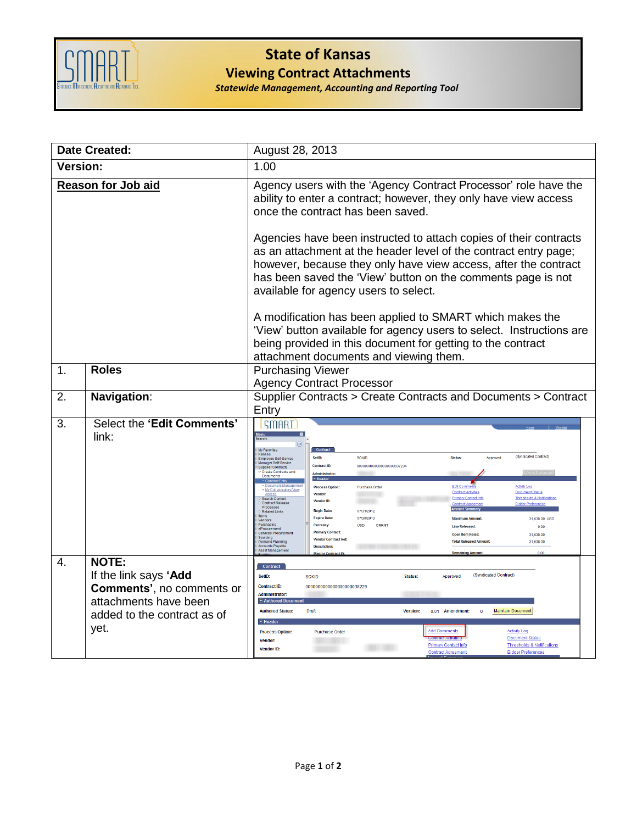

## **State of Kansas Viewing Contract Attachments**

*Statewide Management, Accounting and Reporting Tool*

| <b>Date Created:</b> |                                                                                                                                           | August 28, 2013                                                                                                                                                                                                                                                                                                                                                                                                                                                                                                                                                                                                                                                                                                                                                                                                                                                                                                                                                                                                                                                                                                                                                                                                                                |
|----------------------|-------------------------------------------------------------------------------------------------------------------------------------------|------------------------------------------------------------------------------------------------------------------------------------------------------------------------------------------------------------------------------------------------------------------------------------------------------------------------------------------------------------------------------------------------------------------------------------------------------------------------------------------------------------------------------------------------------------------------------------------------------------------------------------------------------------------------------------------------------------------------------------------------------------------------------------------------------------------------------------------------------------------------------------------------------------------------------------------------------------------------------------------------------------------------------------------------------------------------------------------------------------------------------------------------------------------------------------------------------------------------------------------------|
| <b>Version:</b>      |                                                                                                                                           | 1.00                                                                                                                                                                                                                                                                                                                                                                                                                                                                                                                                                                                                                                                                                                                                                                                                                                                                                                                                                                                                                                                                                                                                                                                                                                           |
|                      | <b>Reason for Job aid</b>                                                                                                                 | Agency users with the 'Agency Contract Processor' role have the<br>ability to enter a contract; however, they only have view access<br>once the contract has been saved.                                                                                                                                                                                                                                                                                                                                                                                                                                                                                                                                                                                                                                                                                                                                                                                                                                                                                                                                                                                                                                                                       |
|                      |                                                                                                                                           | Agencies have been instructed to attach copies of their contracts<br>as an attachment at the header level of the contract entry page;<br>however, because they only have view access, after the contract<br>has been saved the 'View' button on the comments page is not<br>available for agency users to select.                                                                                                                                                                                                                                                                                                                                                                                                                                                                                                                                                                                                                                                                                                                                                                                                                                                                                                                              |
|                      |                                                                                                                                           | A modification has been applied to SMART which makes the<br>'View' button available for agency users to select. Instructions are<br>being provided in this document for getting to the contract<br>attachment documents and viewing them.                                                                                                                                                                                                                                                                                                                                                                                                                                                                                                                                                                                                                                                                                                                                                                                                                                                                                                                                                                                                      |
| $\mathbf 1$ .        | <b>Roles</b>                                                                                                                              | <b>Purchasing Viewer</b><br><b>Agency Contract Processor</b>                                                                                                                                                                                                                                                                                                                                                                                                                                                                                                                                                                                                                                                                                                                                                                                                                                                                                                                                                                                                                                                                                                                                                                                   |
| 2.                   | Navigation:                                                                                                                               | Supplier Contracts > Create Contracts and Documents > Contract<br>Entry                                                                                                                                                                                                                                                                                                                                                                                                                                                                                                                                                                                                                                                                                                                                                                                                                                                                                                                                                                                                                                                                                                                                                                        |
| 3.                   | Select the 'Edit Comments'<br>link:                                                                                                       | SMART<br>Menu<br>My Favorites<br>Contrac<br>Kansas<br>(Syndicated Contract)<br>SetID:<br><b>SOKID</b><br>Status:<br>Approved<br>Employee Self-Service<br>Manager Self-Service<br><b>Contract ID:</b><br>00000000000000000000037234<br><b>Supplier Contracts</b><br>Create Contracts and<br><b>Administrator</b><br>Documents<br>$\blacktriangleright$ Header<br>- Contract Entr<br>· Document Managemen<br>Purchase Order<br>Edit Cor<br><b>Activity Log</b><br><b>Process Option:</b><br><b>Contract Activities</b><br><b>Document Status</b><br>Vendor:<br><b>Thresholds &amp; Notification</b><br>Search Content<br><b>Primary Contact Info</b><br>Vendor ID:<br>Contract Release<br><b>Bidder Preferen</b><br>Processes<br><b>Begin Date:</b><br>07/31/2012<br>Related Links<br><b>Items</b><br><b>Expire Date</b><br>07/30/2013<br>31,638.00 USD<br>Vendors<br>Purchasing<br>Currency:<br><b>USD</b><br><b>Line Released</b><br>0.00<br>eProcurement<br><b>Primary Contact</b><br><b>Services Procurement</b><br>31.638.00<br><b>Open Item Relsd</b><br><b>Sourcing</b><br><b>Vendor Contract Ref.</b><br>31,638.00<br><b>Demand Planning</b><br><b>Total Released Amour</b><br>Accounts Payable<br>Asset Managemen<br><b>Description</b> |
| 4.                   | <b>NOTE:</b><br>If the link says 'Add<br><b>Comments', no comments or</b><br>attachments have been<br>added to the contract as of<br>yet. | <b>Contract</b><br>(Syndicated Contract)<br>SetiD:<br>Status:<br>SOKID<br>Approved<br><b>Contract ID:</b><br>00000000000000000000038229<br>Administrator:<br>▼ Authored Do<br><b>Maintain Document</b><br><b>Authored Status:</b><br>Draft<br><b>Version:</b><br>0.01 Amendment:<br>$\blacktriangledown$ Heade<br><b>Add Comments</b><br><b>Activity Log</b><br>Purchase Order<br><b>Process Option:</b><br>Document Status<br>Vendor:<br><b>Thresholds &amp; Notifications</b><br><b>Primary Contact Info</b><br><b>Vendor ID:</b><br>Contract Agreemen<br><b>Bidder Preferences</b>                                                                                                                                                                                                                                                                                                                                                                                                                                                                                                                                                                                                                                                          |